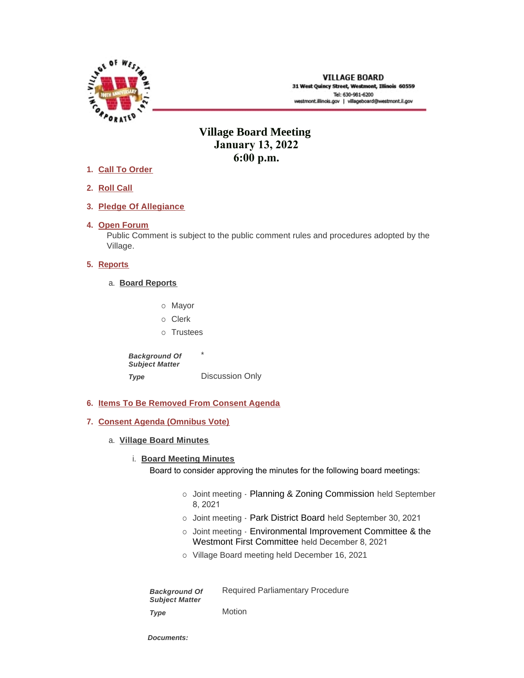

# **Village Board Meeting January 13, 2022 6:00 p.m.**

- **Call To Order 1.**
- **Roll Call 2.**
- **Pledge Of Allegiance 3.**
- 4. Open Forum

Public Comment is subject to the public comment rules and procedures adopted by the Village.

# **5.** Reports

- **Board Reports** a.
	- o Mayor o Clerk
	- o Trustees

\* Discussion Only *Background Of Subject Matter Type* 

- **Items To Be Removed From Consent Agenda 6.**
- **Consent Agenda (Omnibus Vote) 7.**
	- **Village Board Minutes** a.

# **Board Meeting Minutes**

Board to consider approving the minutes for the following board meetings:

- o Joint meeting Planning & Zoning Commission held September 8, 2021
- o Joint meeting Park District Board held September 30, 2021
- o Joint meeting Environmental Improvement Committee & the Westmont First Committee held December 8, 2021
- ¡ Village Board meeting held December 16, 2021

| <b>Background Of</b><br><b>Subject Matter</b> | <b>Required Parliamentary Procedure</b> |
|-----------------------------------------------|-----------------------------------------|
| Type                                          | Motion                                  |

*Documents:*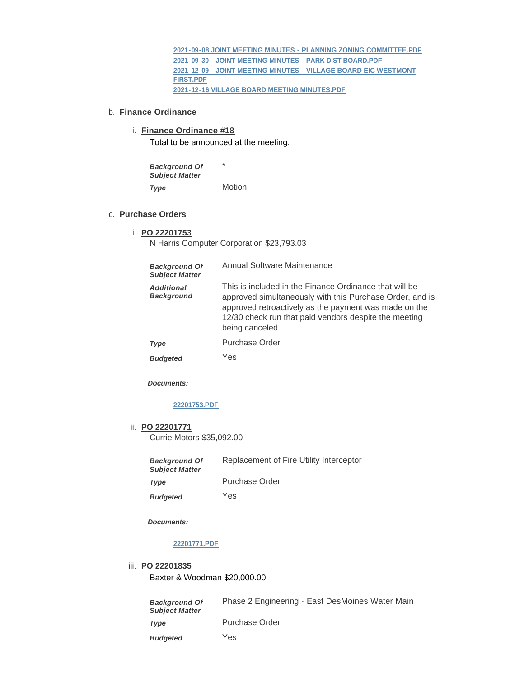**[2021-09-08 JOINT MEETING MINUTES - PLANNING ZONING COMMITTEE.PDF](https://westmont.illinois.gov/AgendaCenter/ViewFile/Item/8466?fileID=11986) [2021-09-30 - JOINT MEETING MINUTES - PARK DIST BOARD.PDF](https://westmont.illinois.gov/AgendaCenter/ViewFile/Item/8466?fileID=11984) [2021-12-09 - JOINT MEETING MINUTES - VILLAGE BOARD EIC WESTMONT](https://westmont.illinois.gov/AgendaCenter/ViewFile/Item/8466?fileID=11985)  FIRST.PDF [2021-12-16 VILLAGE BOARD MEETING MINUTES.PDF](https://westmont.illinois.gov/AgendaCenter/ViewFile/Item/8466?fileID=11983)**

#### b. **Finance Ordinance**

#### **Finance Ordinance #18** i.

Total to be announced at the meeting.

\* Motion *Background Of Subject Matter Type* 

#### **Purchase Orders** c.

#### **PO 22201753** i.

N Harris Computer Corporation \$23,793.03

| <b>Background Of</b><br><b>Subject Matter</b> | Annual Software Maintenance                                                                                                                                                                                                                             |
|-----------------------------------------------|---------------------------------------------------------------------------------------------------------------------------------------------------------------------------------------------------------------------------------------------------------|
| <b>Additional</b><br><b>Background</b>        | This is included in the Finance Ordinance that will be<br>approved simultaneously with this Purchase Order, and is<br>approved retroactively as the payment was made on the<br>12/30 check run that paid vendors despite the meeting<br>being canceled. |
| Type                                          | Purchase Order                                                                                                                                                                                                                                          |
| <b>Budgeted</b>                               | Yes                                                                                                                                                                                                                                                     |

*Documents:*

# **[22201753.PDF](https://westmont.illinois.gov/AgendaCenter/ViewFile/Item/8356?fileID=11674)**

**PO 22201771** ii. Currie Motors \$35,092.00

> Replacement of Fire Utility Interceptor Purchase Order *Background Of Subject Matter Type*

Yes *Budgeted* 

*Documents:*

#### **[22201771.PDF](https://westmont.illinois.gov/AgendaCenter/ViewFile/Item/8362?fileID=11949)**

#### **PO 22201835** iii.

Baxter & Woodman \$20,000.00

| <b>Background Of</b><br><b>Subiect Matter</b> | Phase 2 Engineering - East DesMoines Water Main |
|-----------------------------------------------|-------------------------------------------------|
| Type                                          | Purchase Order                                  |
| <b>Budgeted</b>                               | Yes                                             |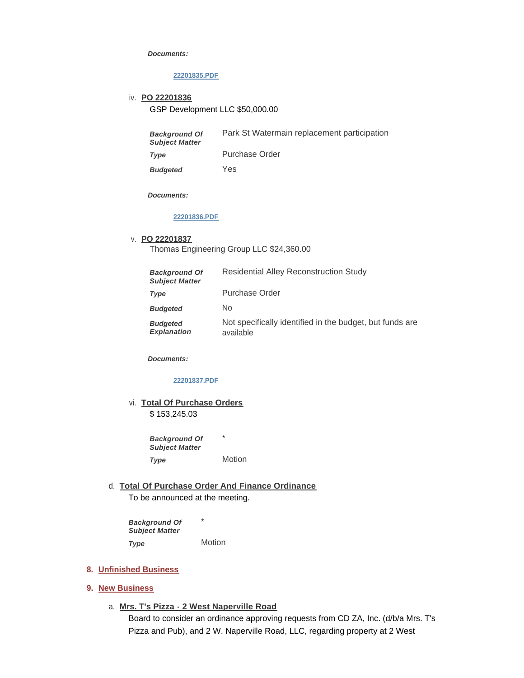#### *Documents:*

### **[22201835.PDF](https://westmont.illinois.gov/AgendaCenter/ViewFile/Item/8474?fileID=11988)**

**PO 22201836** iv.

GSP Development LLC \$50,000.00

| <b>Background Of</b><br><b>Subject Matter</b> | Park St Watermain replacement participation |
|-----------------------------------------------|---------------------------------------------|
| Type                                          | Purchase Order                              |

Yes *Budgeted* 

*Documents:*

# **[22201836.PDF](https://westmont.illinois.gov/AgendaCenter/ViewFile/Item/8475?fileID=11989)**

#### **PO 22201837** v.

Thomas Engineering Group LLC \$24,360.00

| <b>Background Of</b><br><b>Subject Matter</b> | <b>Residential Alley Reconstruction Study</b>                         |
|-----------------------------------------------|-----------------------------------------------------------------------|
| <b>Type</b>                                   | <b>Purchase Order</b>                                                 |
| <b>Budgeted</b>                               | No                                                                    |
| <b>Budgeted</b><br><b>Explanation</b>         | Not specifically identified in the budget, but funds are<br>available |

*Documents:*

### **[22201837.PDF](https://westmont.illinois.gov/AgendaCenter/ViewFile/Item/8476?fileID=11990)**

vi. Total Of Purchase Orders \$ 153,245.03

> \* Motion *Background Of Subject Matter Type*

**Total Of Purchase Order And Finance Ordinance** d. To be announced at the meeting.

\* Motion *Background Of Subject Matter Type* 

#### **Unfinished Business 8.**

#### **New Business 9.**

**Mrs. T's Pizza - 2 West Naperville Road** a. Board to consider an ordinance approving requests from CD ZA, Inc. (d/b/a Mrs. T's Pizza and Pub), and 2 W. Naperville Road, LLC, regarding property at 2 West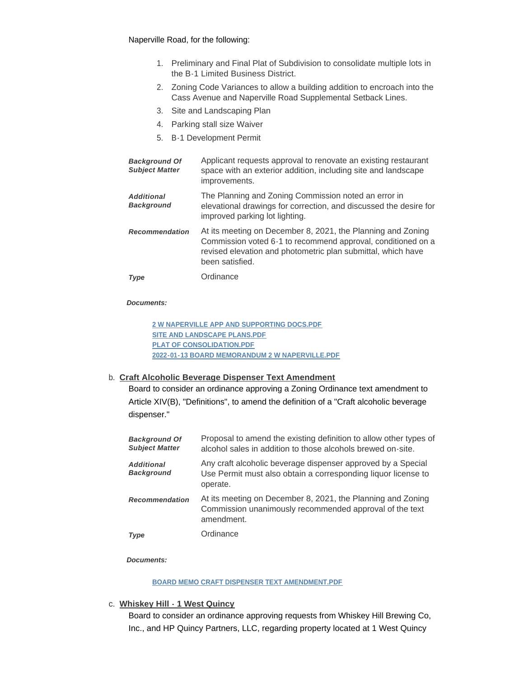- 1. Preliminary and Final Plat of Subdivision to consolidate multiple lots in the B-1 Limited Business District.
- 2. Zoning Code Variances to allow a building addition to encroach into the Cass Avenue and Naperville Road Supplemental Setback Lines.
- 3. Site and Landscaping Plan
- 4. Parking stall size Waiver
- 5. B-1 Development Permit

| <b>Background Of</b><br><b>Subject Matter</b> | Applicant requests approval to renovate an existing restaurant<br>space with an exterior addition, including site and landscape<br>improvements.                                                               |
|-----------------------------------------------|----------------------------------------------------------------------------------------------------------------------------------------------------------------------------------------------------------------|
| <b>Additional</b><br><b>Background</b>        | The Planning and Zoning Commission noted an error in<br>elevational drawings for correction, and discussed the desire for<br>improved parking lot lighting.                                                    |
| <b>Recommendation</b>                         | At its meeting on December 8, 2021, the Planning and Zoning<br>Commission voted 6-1 to recommend approval, conditioned on a<br>revised elevation and photometric plan submittal, which have<br>been satisfied. |
| Type                                          | Ordinance                                                                                                                                                                                                      |

### *Documents:*

**[2 W NAPERVILLE APP AND SUPPORTING DOCS.PDF](https://westmont.illinois.gov/AgendaCenter/ViewFile/Item/8360?fileID=11800) [SITE AND LANDSCAPE PLANS.PDF](https://westmont.illinois.gov/AgendaCenter/ViewFile/Item/8360?fileID=11801) [PLAT OF CONSOLIDATION.PDF](https://westmont.illinois.gov/AgendaCenter/ViewFile/Item/8360?fileID=11802) [2022-01-13 BOARD MEMORANDUM 2 W NAPERVILLE.PDF](https://westmont.illinois.gov/AgendaCenter/ViewFile/Item/8360?fileID=11803)**

# **Craft Alcoholic Beverage Dispenser Text Amendment** b.

Board to consider an ordinance approving a Zoning Ordinance text amendment to Article XIV(B), "Definitions", to amend the definition of a "Craft alcoholic beverage dispenser."

| <b>Background Of</b><br><b>Subject Matter</b> | Proposal to amend the existing definition to allow other types of<br>alcohol sales in addition to those alcohols brewed on-site.          |
|-----------------------------------------------|-------------------------------------------------------------------------------------------------------------------------------------------|
| <b>Additional</b><br><b>Background</b>        | Any craft alcoholic beverage dispenser approved by a Special<br>Use Permit must also obtain a corresponding liquor license to<br>operate. |
| <b>Recommendation</b>                         | At its meeting on December 8, 2021, the Planning and Zoning<br>Commission unanimously recommended approval of the text<br>amendment.      |
| <b>Type</b>                                   | Ordinance                                                                                                                                 |

*Documents:*

#### **[BOARD MEMO CRAFT DISPENSER TEXT AMENDMENT.PDF](https://westmont.illinois.gov/AgendaCenter/ViewFile/Item/8358?fileID=11797)**

**Whiskey Hill - 1 West Quincy** c.

Board to consider an ordinance approving requests from Whiskey Hill Brewing Co, Inc., and HP Quincy Partners, LLC, regarding property located at 1 West Quincy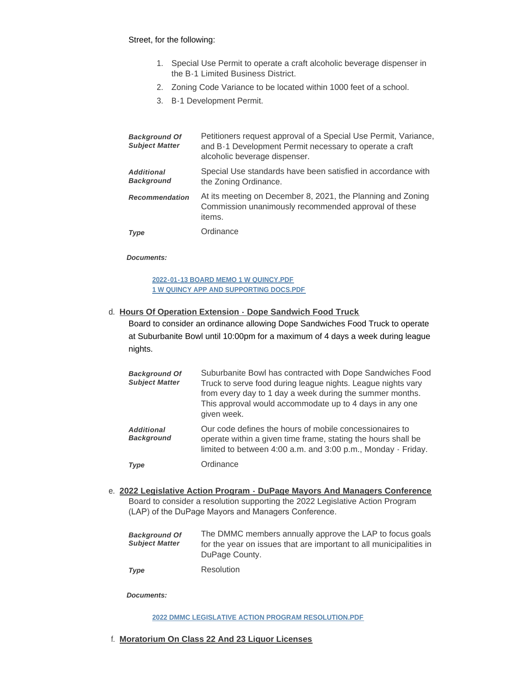### Street, for the following:

- 1. Special Use Permit to operate a craft alcoholic beverage dispenser in the B-1 Limited Business District.
- 2. Zoning Code Variance to be located within 1000 feet of a school.
- 3. B-1 Development Permit.

| <b>Background Of</b><br><b>Subject Matter</b> | Petitioners request approval of a Special Use Permit, Variance,<br>and B-1 Development Permit necessary to operate a craft<br>alcoholic beverage dispenser. |
|-----------------------------------------------|-------------------------------------------------------------------------------------------------------------------------------------------------------------|
| <b>Additional</b><br><b>Background</b>        | Special Use standards have been satisfied in accordance with<br>the Zoning Ordinance.                                                                       |
| <b>Recommendation</b>                         | At its meeting on December 8, 2021, the Planning and Zoning<br>Commission unanimously recommended approval of these<br>items.                               |
| Type                                          | Ordinance                                                                                                                                                   |

#### *Documents:*

**[2022-01-13 BOARD MEMO 1 W QUINCY.PDF](https://westmont.illinois.gov/AgendaCenter/ViewFile/Item/8359?fileID=11798) [1 W QUINCY APP AND SUPPORTING DOCS.PDF](https://westmont.illinois.gov/AgendaCenter/ViewFile/Item/8359?fileID=11799)**

# **Hours Of Operation Extension - Dope Sandwich Food Truck** d.

Board to consider an ordinance allowing Dope Sandwiches Food Truck to operate at Suburbanite Bowl until 10:00pm for a maximum of 4 days a week during league nights.

| <b>Background Of</b><br><b>Subject Matter</b> | Suburbanite Bowl has contracted with Dope Sandwiches Food<br>Truck to serve food during league nights. League nights vary<br>from every day to 1 day a week during the summer months.<br>This approval would accommodate up to 4 days in any one<br>given week. |
|-----------------------------------------------|-----------------------------------------------------------------------------------------------------------------------------------------------------------------------------------------------------------------------------------------------------------------|
| <b>Additional</b><br><b>Background</b>        | Our code defines the hours of mobile concessionaires to<br>operate within a given time frame, stating the hours shall be<br>limited to between 4:00 a.m. and 3:00 p.m., Monday - Friday.                                                                        |
| Type                                          | Ordinance                                                                                                                                                                                                                                                       |

**2022 Legislative Action Program - DuPage Mayors And Managers Conference** e. Board to consider a resolution supporting the 2022 Legislative Action Program (LAP) of the DuPage Mayors and Managers Conference.

| <b>Background Of</b>  | The DMMC members annually approve the LAP to focus goals           |
|-----------------------|--------------------------------------------------------------------|
| <b>Subiect Matter</b> | for the year on issues that are important to all municipalities in |
|                       | DuPage County.                                                     |

Resolution *Type* 

*Documents:*

#### **[2022 DMMC LEGISLATIVE ACTION PROGRAM RESOLUTION.PDF](https://westmont.illinois.gov/AgendaCenter/ViewFile/Item/8355?fileID=11602)**

# **Moratorium On Class 22 And 23 Liquor Licenses** f.